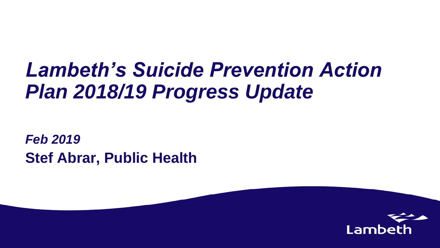### *Lambeth's Suicide Prevention Action Plan 2018/19 Progress Update*

*Feb 2019*  **Stef Abrar, Public Health**

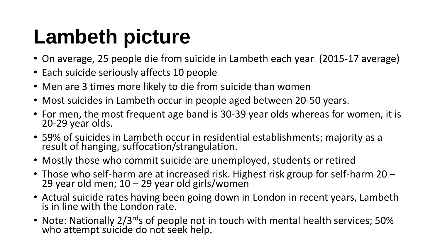### **Lambeth picture**

- On average, 25 people die from suicide in Lambeth each year (2015-17 average)
- Each suicide seriously affects 10 people
- Men are 3 times more likely to die from suicide than women
- Most suicides in Lambeth occur in people aged between 20-50 years.
- For men, the most frequent age band is 30-39 year olds whereas for women, it is 20-29 year olds.
- 59% of suicides in Lambeth occur in residential establishments; majority as a result of hanging, suffocation/strangulation.
- Mostly those who commit suicide are unemployed, students or retired
- Those who self-harm are at increased risk. Highest risk group for self-harm 20 29 year old men;  $10 - 29$  year old girls/women
- Actual suicide rates having been going down in London in recent years, Lambeth is in line with the London rate.
- Note: Nationally 2/3<sup>rd</sup>s of people not in touch with mental health services; 50% who attempt suicide do not seek help.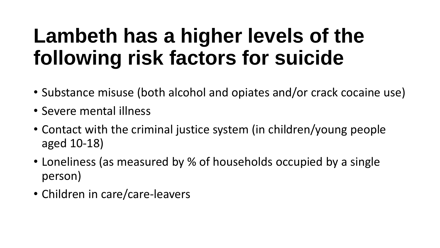### **Lambeth has a higher levels of the following risk factors for suicide**

- Substance misuse (both alcohol and opiates and/or crack cocaine use)
- Severe mental illness
- Contact with the criminal justice system (in children/young people aged 10-18)
- Loneliness (as measured by % of households occupied by a single person)
- Children in care/care-leavers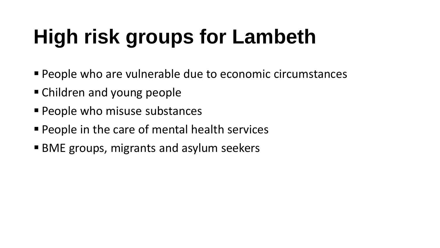# **High risk groups for Lambeth**

- People who are vulnerable due to economic circumstances
- Children and young people
- **People who misuse substances**
- **People in the care of mental health services**
- BME groups, migrants and asylum seekers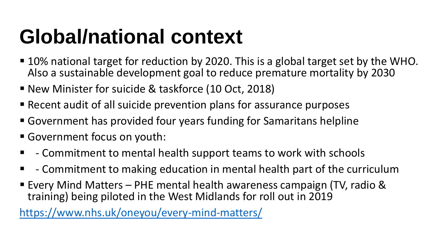### **Global/national context**

- 10% national target for reduction by 2020. This is a global target set by the WHO. Also a sustainable development goal to reduce premature mortality by 2030
- New Minister for suicide & taskforce (10 Oct, 2018)
- Recent audit of all suicide prevention plans for assurance purposes
- Government has provided four years funding for Samaritans helpline
- Government focus on youth:
- - Commitment to mental health support teams to work with schools
- $\blacksquare$  Commitment to making education in mental health part of the curriculum
- **Every Mind Matters PHE mental health awareness campaign (TV, radio &** training) being piloted in the West Midlands for roll out in 2019

<https://www.nhs.uk/oneyou/every-mind-matters/>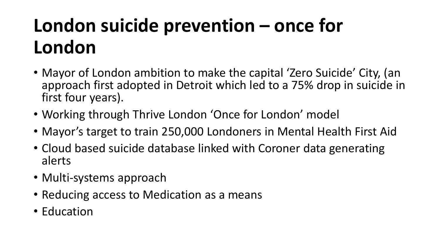### **London suicide prevention – once for London**

- Mayor of London ambition to make the capital 'Zero Suicide' City, (an approach first adopted in Detroit which led to a 75% drop in suicide in first four years).
- Working through Thrive London 'Once for London' model
- Mayor's target to train 250,000 Londoners in Mental Health First Aid
- Cloud based suicide database linked with Coroner data generating alerts
- Multi-systems approach
- Reducing access to Medication as a means
- Education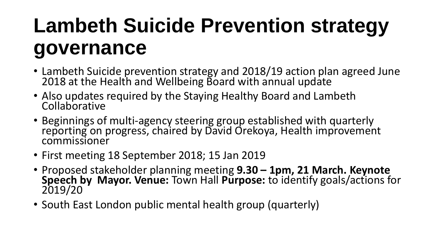### **Lambeth Suicide Prevention strategy governance**

- Lambeth Suicide prevention strategy and 2018/19 action plan agreed June 2018 at the Health and Wellbeing Board with annual update
- Also updates required by the Staying Healthy Board and Lambeth **Collaborative**
- Beginnings of multi-agency steering group established with quarterly reporting on progress, chaired by David Orekoya, Health improvement commissioner
- First meeting 18 September 2018; 15 Jan 2019
- Proposed stakeholder planning meeting **9.30 – 1pm, 21 March. Keynote Speech by Mayor. Venue:** Town Hall **Purpose:** to identify goals/actions for 2019/20
- South East London public mental health group (quarterly)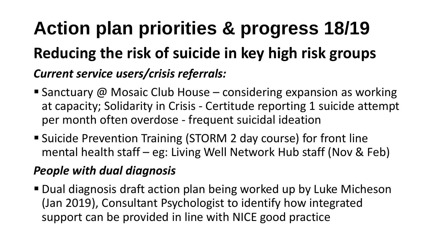### **Action plan priorities & progress 18/19 Reducing the risk of suicide in key high risk groups**  *Current service users/crisis referrals:*

- Sanctuary  $\omega$  Mosaic Club House considering expansion as working at capacity; Solidarity in Crisis - Certitude reporting 1 suicide attempt per month often overdose - frequent suicidal ideation
- Suicide Prevention Training (STORM 2 day course) for front line mental health staff – eg: Living Well Network Hub staff (Nov & Feb)

#### *People with dual diagnosis*

■ Dual diagnosis draft action plan being worked up by Luke Micheson (Jan 2019), Consultant Psychologist to identify how integrated support can be provided in line with NICE good practice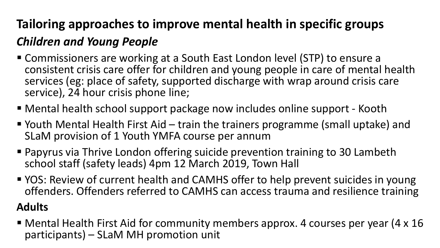### **Tailoring approaches to improve mental health in specific groups**  *Children and Young People*

- Commissioners are working at a South East London level (STP) to ensure a consistent crisis care offer for children and young people in care of mental health services (eg: place of safety, supported discharge with wrap around crisis care service), 24 hour crisis phone line;
- Mental health school support package now includes online support Kooth
- Youth Mental Health First Aid train the trainers programme (small uptake) and SLaM provision of 1 Youth YMFA course per annum
- Papyrus via Thrive London offering suicide prevention training to 30 Lambeth school staff (safety leads) 4pm 12 March 2019, Town Hall
- YOS: Review of current health and CAMHS offer to help prevent suicides in young offenders. Offenders referred to CAMHS can access trauma and resilience training

#### **Adults**

 Mental Health First Aid for community members approx. 4 courses per year (4 x 16 participants) – SLaM MH promotion unit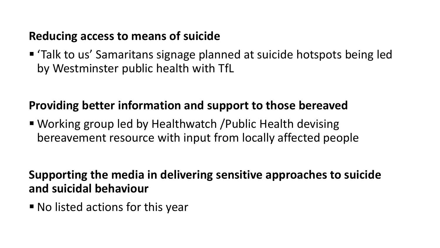#### **Reducing access to means of suicide**

 'Talk to us' Samaritans signage planned at suicide hotspots being led by Westminster public health with TfL

#### **Providing better information and support to those bereaved**

 Working group led by Healthwatch /Public Health devising bereavement resource with input from locally affected people

#### **Supporting the media in delivering sensitive approaches to suicide and suicidal behaviour**

No listed actions for this year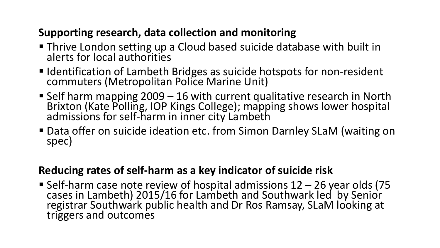#### **Supporting research, data collection and monitoring**

- Thrive London setting up a Cloud based suicide database with built in alerts for local authorities
- **IDENTIFICATION OF Lambeth Bridges as suicide hotspots for non-resident** commuters (Metropolitan Police Marine Unit)
- Self harm mapping 2009 16 with current qualitative research in North Brixton (Kate Polling, IOP Kings College); mapping shows lower hospital admissions for self-harm in inner city Lambeth
- Data offer on suicide ideation etc. from Simon Darnley SLaM (waiting on spec)

#### **Reducing rates of self-harm as a key indicator of suicide risk**

Self-harm case note review of hospital admissions 12 - 26 year olds (75 cases in Lambeth) 2015/16 for Lambeth and Southwark led by Senior registrar Southwark public health and Dr Ros Ramsay, SLaM looking at triggers and outcomes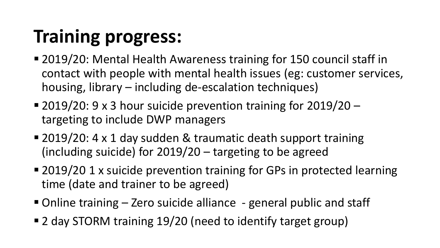### **Training progress:**

- 2019/20: Mental Health Awareness training for 150 council staff in contact with people with mental health issues (eg: customer services, housing, library – including de-escalation techniques)
- **2019/20: 9 x 3 hour suicide prevention training for 2019/20** targeting to include DWP managers
- 2019/20: 4 x 1 day sudden & traumatic death support training (including suicide) for 2019/20 – targeting to be agreed
- 2019/20 1 x suicide prevention training for GPs in protected learning time (date and trainer to be agreed)
- Online training Zero suicide alliance general public and staff
- 2 day STORM training 19/20 (need to identify target group)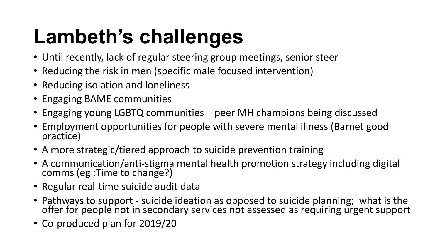## **Lambeth's challenges**

- Until recently, lack of regular steering group meetings, senior steer
- Reducing the risk in men (specific male focused intervention)
- Reducing isolation and loneliness
- Engaging BAME communities
- Engaging young LGBTQ communities peer MH champions being discussed
- Employment opportunities for people with severe mental illness (Barnet good practice)
- A more strategic/tiered approach to suicide prevention training
- A communication/anti-stigma mental health promotion strategy including digital comms (eg :Time to change?)
- Regular real-time suicide audit data
- Pathways to support suicide ideation as opposed to suicide planning; what is the offer for people not in secondary services not assessed as requiring urgent support
- Co-produced plan for 2019/20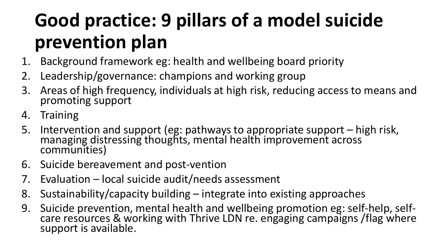### **Good practice: 9 pillars of a model suicide prevention plan**

- 1. Background framework eg: health and wellbeing board priority
- 2. Leadership/governance: champions and working group
- 3. Areas of high frequency, individuals at high risk, reducing access to means and promoting support
- 4. Training
- 5. Intervention and support (eg: pathways to appropriate support high risk, managing distressing thoughts, mental health improvement across communities)
- 6. Suicide bereavement and post-vention
- 7. Evaluation local suicide audit/needs assessment
- 8. Sustainability/capacity building integrate into existing approaches
- 9. Suicide prevention, mental health and wellbeing promotion eg: self-help, selfcare resources & working with Thrive LDN re. engaging campaigns / flag where support is available.